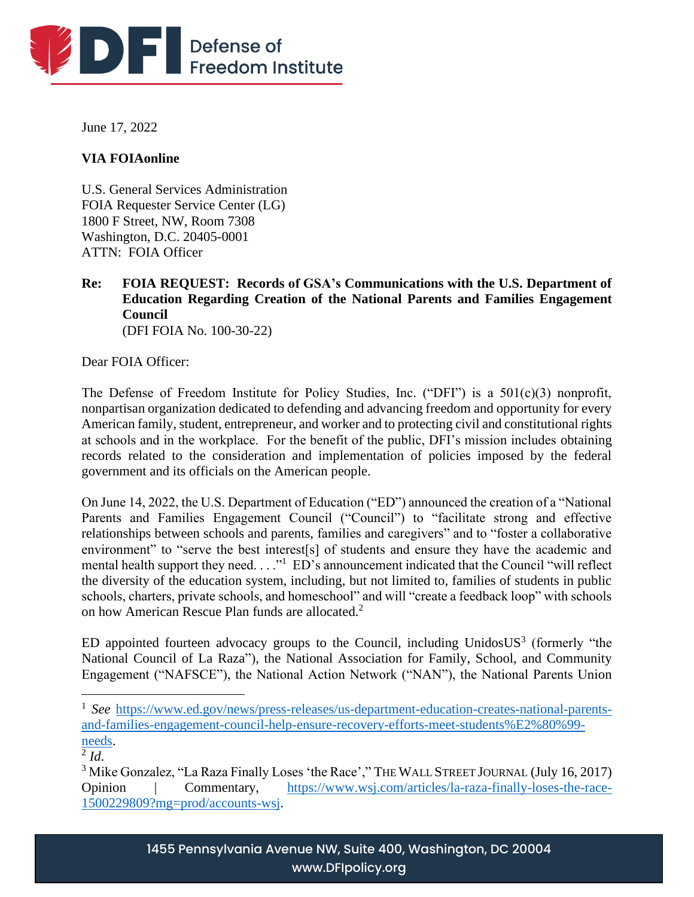

June 17, 2022

# **VIA FOIAonline**

U.S. General Services Administration FOIA Requester Service Center (LG) 1800 F Street, NW, Room 7308 Washington, D.C. 20405-0001 ATTN: FOIA Officer

**Re: FOIA REQUEST: Records of GSA's Communications with the U.S. Department of Education Regarding Creation of the National Parents and Families Engagement Council** (DFI FOIA No. 100-30-22)

Dear FOIA Officer:

The Defense of Freedom Institute for Policy Studies, Inc. ("DFI") is a 501(c)(3) nonprofit, nonpartisan organization dedicated to defending and advancing freedom and opportunity for every American family, student, entrepreneur, and worker and to protecting civil and constitutional rights at schools and in the workplace. For the benefit of the public, DFI's mission includes obtaining records related to the consideration and implementation of policies imposed by the federal government and its officials on the American people.

On June 14, 2022, the U.S. Department of Education ("ED") announced the creation of a "National Parents and Families Engagement Council ("Council") to "facilitate strong and effective relationships between schools and parents, families and caregivers" and to "foster a collaborative environment" to "serve the best interest[s] of students and ensure they have the academic and mental health support they need.  $\dots$ <sup>1</sup> ED's announcement indicated that the Council "will reflect the diversity of the education system, including, but not limited to, families of students in public schools, charters, private schools, and homeschool" and will "create a feedback loop" with schools on how American Rescue Plan funds are allocated.<sup>2</sup>

ED appointed fourteen advocacy groups to the Council, including UnidosUS<sup>3</sup> (formerly "the National Council of La Raza"), the National Association for Family, School, and Community Engagement ("NAFSCE"), the National Action Network ("NAN"), the National Parents Union

<sup>&</sup>lt;sup>1</sup> See [https://www.ed.gov/news/press-releases/us-department-education-creates-national-parents](https://www.ed.gov/news/press-releases/us-department-education-creates-national-parents-and-families-engagement-council-help-ensure-recovery-efforts-meet-students%E2%80%99-needs)[and-families-engagement-council-help-ensure-recovery-efforts-meet-students%E2%80%99](https://www.ed.gov/news/press-releases/us-department-education-creates-national-parents-and-families-engagement-council-help-ensure-recovery-efforts-meet-students%E2%80%99-needs) [needs.](https://www.ed.gov/news/press-releases/us-department-education-creates-national-parents-and-families-engagement-council-help-ensure-recovery-efforts-meet-students%E2%80%99-needs)

 $^2$ *Id.* 

<sup>&</sup>lt;sup>3</sup> Mike Gonzalez, "La Raza Finally Loses 'the Race'," THE WALL STREET JOURNAL (July 16, 2017) Opinion | Commentary, [https://www.wsj.com/articles/la-raza-finally-loses-the-race-](https://www.wsj.com/articles/la-raza-finally-loses-the-race-1500229809?mg=prod/accounts-wsj)[1500229809?mg=prod/accounts-wsj.](https://www.wsj.com/articles/la-raza-finally-loses-the-race-1500229809?mg=prod/accounts-wsj)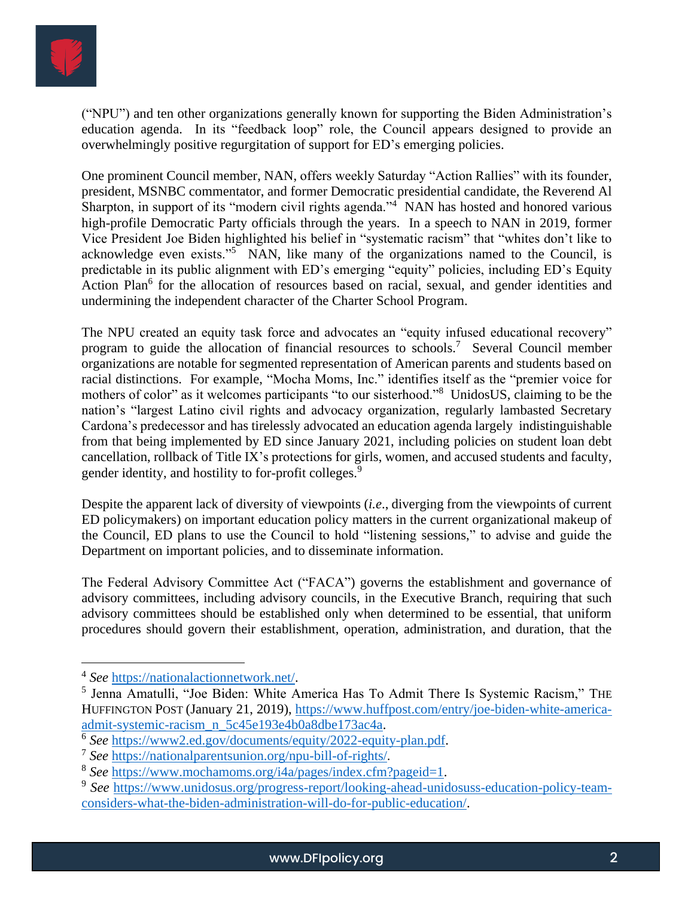

("NPU") and ten other organizations generally known for supporting the Biden Administration's education agenda. In its "feedback loop" role, the Council appears designed to provide an overwhelmingly positive regurgitation of support for ED's emerging policies.

One prominent Council member, NAN, offers weekly Saturday "Action Rallies" with its founder, president, MSNBC commentator, and former Democratic presidential candidate, the Reverend Al Sharpton, in support of its "modern civil rights agenda."<sup>4</sup> NAN has hosted and honored various high-profile Democratic Party officials through the years. In a speech to NAN in 2019, former Vice President Joe Biden highlighted his belief in "systematic racism" that "whites don't like to acknowledge even exists."<sup>5</sup> NAN, like many of the organizations named to the Council, is predictable in its public alignment with ED's emerging "equity" policies, including ED's Equity Action Plan<sup>6</sup> for the allocation of resources based on racial, sexual, and gender identities and undermining the independent character of the Charter School Program.

The NPU created an equity task force and advocates an "equity infused educational recovery" program to guide the allocation of financial resources to schools.<sup>7</sup> Several Council member organizations are notable for segmented representation of American parents and students based on racial distinctions. For example, "Mocha Moms, Inc." identifies itself as the "premier voice for mothers of color" as it welcomes participants "to our sisterhood."<sup>8</sup> UnidosUS, claiming to be the nation's "largest Latino civil rights and advocacy organization, regularly lambasted Secretary Cardona's predecessor and has tirelessly advocated an education agenda largely indistinguishable from that being implemented by ED since January 2021, including policies on student loan debt cancellation, rollback of Title IX's protections for girls, women, and accused students and faculty, gender identity, and hostility to for-profit colleges.<sup>9</sup>

Despite the apparent lack of diversity of viewpoints (*i.e*., diverging from the viewpoints of current ED policymakers) on important education policy matters in the current organizational makeup of the Council, ED plans to use the Council to hold "listening sessions," to advise and guide the Department on important policies, and to disseminate information.

The Federal Advisory Committee Act ("FACA") governs the establishment and governance of advisory committees, including advisory councils, in the Executive Branch, requiring that such advisory committees should be established only when determined to be essential, that uniform procedures should govern their establishment, operation, administration, and duration, that the

<sup>4</sup> *See* [https://nationalactionnetwork.net/.](https://nationalactionnetwork.net/)

<sup>&</sup>lt;sup>5</sup> Jenna Amatulli, "Joe Biden: White America Has To Admit There Is Systemic Racism," THE HUFFINGTON POST (January 21, 2019), [https://www.huffpost.com/entry/joe-biden-white-america](https://www.huffpost.com/entry/joe-biden-white-america-admit-systemic-racism_n_5c45e193e4b0a8dbe173ac4a)[admit-systemic-racism\\_n\\_5c45e193e4b0a8dbe173ac4a.](https://www.huffpost.com/entry/joe-biden-white-america-admit-systemic-racism_n_5c45e193e4b0a8dbe173ac4a)

<sup>6</sup> *See* [https://www2.ed.gov/documents/equity/2022-equity-plan.pdf.](https://www2.ed.gov/documents/equity/2022-equity-plan.pdf)

<sup>7</sup> *See* <https://nationalparentsunion.org/npu-bill-of-rights/>.

<sup>8</sup> *See* [https://www.mochamoms.org/i4a/pages/index.cfm?pageid=1.](https://www.mochamoms.org/i4a/pages/index.cfm?pageid=1)

<sup>&</sup>lt;sup>9</sup> See [https://www.unidosus.org/progress-report/looking-ahead-unidosuss-education-policy-team](https://www.unidosus.org/progress-report/looking-ahead-unidosuss-education-policy-team-considers-what-the-biden-administration-will-do-for-public-education/)[considers-what-the-biden-administration-will-do-for-public-education/.](https://www.unidosus.org/progress-report/looking-ahead-unidosuss-education-policy-team-considers-what-the-biden-administration-will-do-for-public-education/)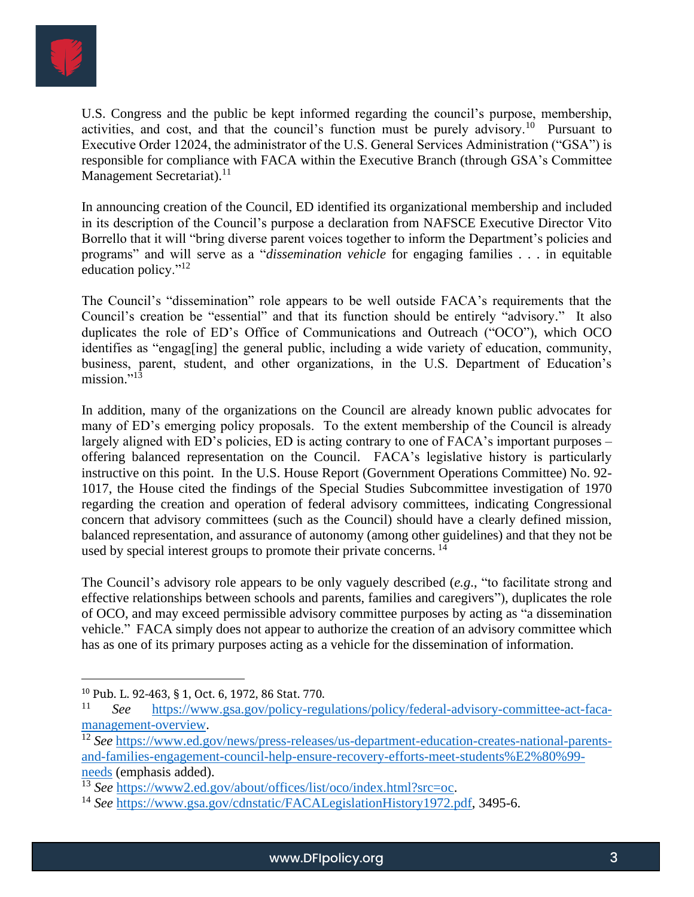

U.S. Congress and the public be kept informed regarding the council's purpose, membership, activities, and cost, and that the council's function must be purely advisory.<sup>10</sup> Pursuant to Executive Order 12024, the administrator of the U.S. General Services Administration ("GSA") is responsible for compliance with FACA within the Executive Branch (through GSA's Committee Management Secretariat).<sup>11</sup>

In announcing creation of the Council, ED identified its organizational membership and included in its description of the Council's purpose a declaration from NAFSCE Executive Director Vito Borrello that it will "bring diverse parent voices together to inform the Department's policies and programs" and will serve as a "*dissemination vehicle* for engaging families . . . in equitable education policy."<sup>12</sup>

The Council's "dissemination" role appears to be well outside FACA's requirements that the Council's creation be "essential" and that its function should be entirely "advisory." It also duplicates the role of ED's Office of Communications and Outreach ("OCO"), which OCO identifies as "engag[ing] the general public, including a wide variety of education, community, business, parent, student, and other organizations, in the U.S. Department of Education's mission."<sup>13</sup>

In addition, many of the organizations on the Council are already known public advocates for many of ED's emerging policy proposals. To the extent membership of the Council is already largely aligned with ED's policies, ED is acting contrary to one of FACA's important purposes – offering balanced representation on the Council. FACA's legislative history is particularly instructive on this point. In the U.S. House Report (Government Operations Committee) No. 92- 1017, the House cited the findings of the Special Studies Subcommittee investigation of 1970 regarding the creation and operation of federal advisory committees, indicating Congressional concern that advisory committees (such as the Council) should have a clearly defined mission, balanced representation, and assurance of autonomy (among other guidelines) and that they not be used by special interest groups to promote their private concerns.<sup>14</sup>

The Council's advisory role appears to be only vaguely described (*e.g*., "to facilitate strong and effective relationships between schools and parents, families and caregivers"), duplicates the role of OCO, and may exceed permissible advisory committee purposes by acting as "a dissemination vehicle." FACA simply does not appear to authorize the creation of an advisory committee which has as one of its primary purposes acting as a vehicle for the dissemination of information.

<sup>10</sup> Pub. L. 92-463, § 1, Oct. 6, 1972, 86 Stat. 770.

<sup>11</sup> *See* [https://www.gsa.gov/policy-regulations/policy/federal-advisory-committee-act-faca](https://www.gsa.gov/policy-regulations/policy/federal-advisory-committee-act-faca-management-overview)[management-overview.](https://www.gsa.gov/policy-regulations/policy/federal-advisory-committee-act-faca-management-overview)

<sup>12</sup> *See* [https://www.ed.gov/news/press-releases/us-department-education-creates-national-parents](https://www.ed.gov/news/press-releases/us-department-education-creates-national-parents-and-families-engagement-council-help-ensure-recovery-efforts-meet-students%E2%80%99-needs)[and-families-engagement-council-help-ensure-recovery-efforts-meet-students%E2%80%99](https://www.ed.gov/news/press-releases/us-department-education-creates-national-parents-and-families-engagement-council-help-ensure-recovery-efforts-meet-students%E2%80%99-needs) [needs](https://www.ed.gov/news/press-releases/us-department-education-creates-national-parents-and-families-engagement-council-help-ensure-recovery-efforts-meet-students%E2%80%99-needs) (emphasis added).

<sup>13</sup> *See* [https://www2.ed.gov/about/offices/list/oco/index.html?src=oc.](https://www2.ed.gov/about/offices/list/oco/index.html?src=oc)

<sup>14</sup> *See* [https://www.gsa.gov/cdnstatic/FACALegislationHistory1972.pdf,](https://www.gsa.gov/cdnstatic/FACALegislationHistory1972.pdf) 3495-6.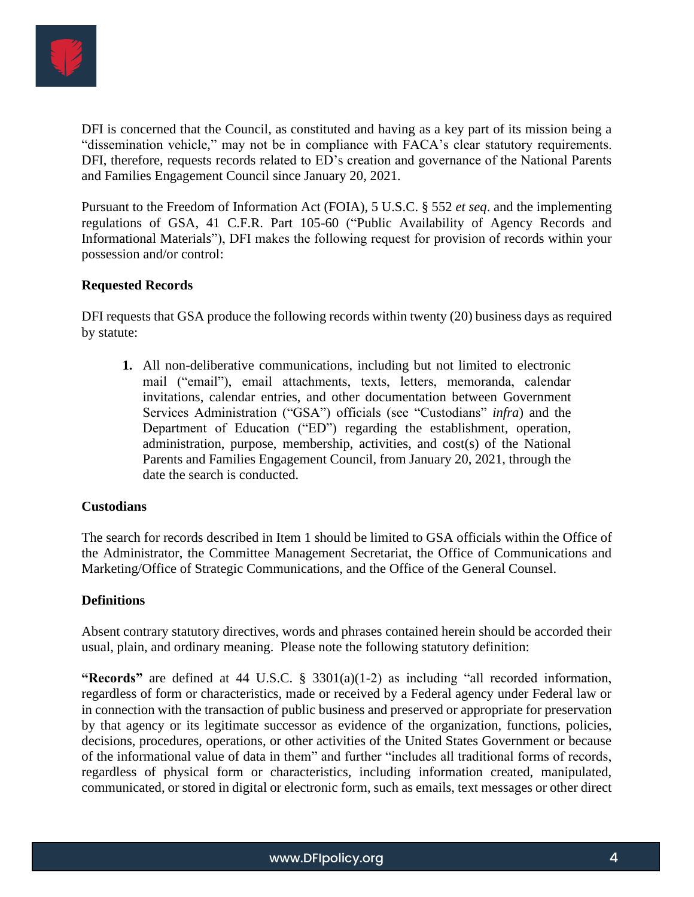

DFI is concerned that the Council, as constituted and having as a key part of its mission being a "dissemination vehicle," may not be in compliance with FACA's clear statutory requirements. DFI, therefore, requests records related to ED's creation and governance of the National Parents and Families Engagement Council since January 20, 2021.

Pursuant to the Freedom of Information Act (FOIA), 5 U.S.C. § 552 *et seq*. and the implementing regulations of GSA, 41 C.F.R. Part 105-60 ("Public Availability of Agency Records and Informational Materials"), DFI makes the following request for provision of records within your possession and/or control:

### **Requested Records**

DFI requests that GSA produce the following records within twenty (20) business days as required by statute:

**1.** All non-deliberative communications, including but not limited to electronic mail ("email"), email attachments, texts, letters, memoranda, calendar invitations, calendar entries, and other documentation between Government Services Administration ("GSA") officials (see "Custodians" *infra*) and the Department of Education ("ED") regarding the establishment, operation, administration, purpose, membership, activities, and cost(s) of the National Parents and Families Engagement Council, from January 20, 2021, through the date the search is conducted.

### **Custodians**

The search for records described in Item 1 should be limited to GSA officials within the Office of the Administrator, the Committee Management Secretariat, the Office of Communications and Marketing/Office of Strategic Communications, and the Office of the General Counsel.

### **Definitions**

Absent contrary statutory directives, words and phrases contained herein should be accorded their usual, plain, and ordinary meaning. Please note the following statutory definition:

**"Records"** are defined at 44 U.S.C. § 3301(a)(1-2) as including "all recorded information, regardless of form or characteristics, made or received by a Federal agency under Federal law or in connection with the transaction of public business and preserved or appropriate for preservation by that agency or its legitimate successor as evidence of the organization, functions, policies, decisions, procedures, operations, or other activities of the United States Government or because of the informational value of data in them" and further "includes all traditional forms of records, regardless of physical form or characteristics, including information created, manipulated, communicated, or stored in digital or electronic form, such as emails, text messages or other direct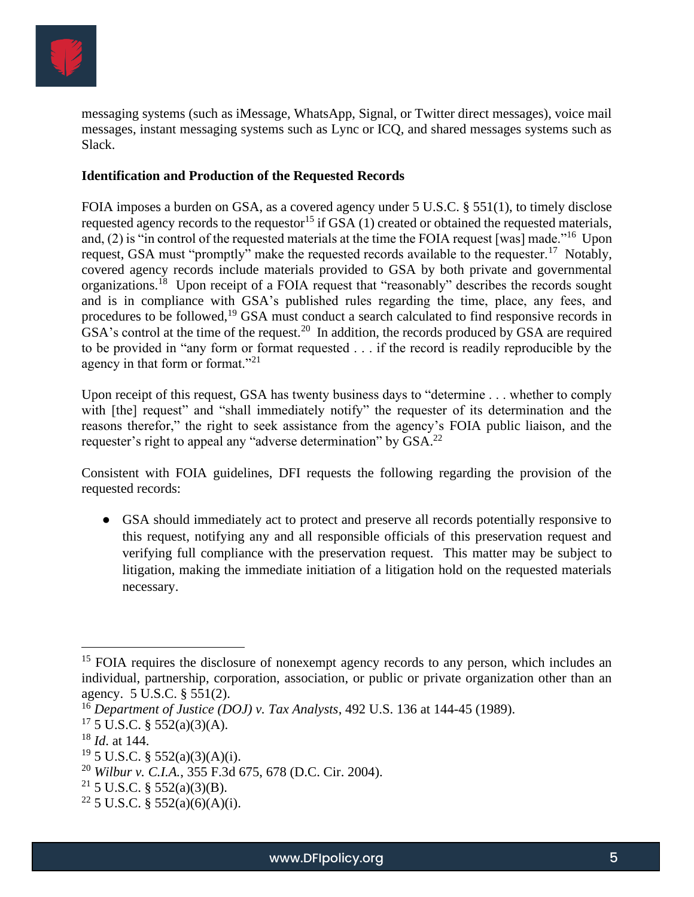

messaging systems (such as iMessage, WhatsApp, Signal, or Twitter direct messages), voice mail messages, instant messaging systems such as Lync or ICQ, and shared messages systems such as Slack.

### **Identification and Production of the Requested Records**

FOIA imposes a burden on GSA, as a covered agency under 5 U.S.C. § 551(1), to timely disclose requested agency records to the requestor<sup>15</sup> if GSA  $(1)$  created or obtained the requested materials, and, (2) is "in control of the requested materials at the time the FOIA request [was] made."<sup>16</sup> Upon request, GSA must "promptly" make the requested records available to the requester.<sup>17</sup> Notably, covered agency records include materials provided to GSA by both private and governmental organizations.<sup>18</sup> Upon receipt of a FOIA request that "reasonably" describes the records sought and is in compliance with GSA's published rules regarding the time, place, any fees, and procedures to be followed,<sup>19</sup> GSA must conduct a search calculated to find responsive records in GSA's control at the time of the request.<sup>20</sup> In addition, the records produced by GSA are required to be provided in "any form or format requested . . . if the record is readily reproducible by the agency in that form or format."<sup>21</sup>

Upon receipt of this request, GSA has twenty business days to "determine . . . whether to comply with [the] request" and "shall immediately notify" the requester of its determination and the reasons therefor," the right to seek assistance from the agency's FOIA public liaison, and the requester's right to appeal any "adverse determination" by GSA.<sup>22</sup>

Consistent with FOIA guidelines, DFI requests the following regarding the provision of the requested records:

● GSA should immediately act to protect and preserve all records potentially responsive to this request, notifying any and all responsible officials of this preservation request and verifying full compliance with the preservation request. This matter may be subject to litigation, making the immediate initiation of a litigation hold on the requested materials necessary.

<sup>&</sup>lt;sup>15</sup> FOIA requires the disclosure of nonexempt agency records to any person, which includes an individual, partnership, corporation, association, or public or private organization other than an agency. 5 U.S.C. § 551(2).

<sup>16</sup> *Department of Justice (DOJ) v. Tax Analysts*, 492 U.S. 136 at 144-45 (1989).

 $17\,5$  U.S.C. § 552(a)(3)(A).

<sup>18</sup> *Id*. at 144.

 $19\,$  5 U.S.C. § 552(a)(3)(A)(i).

<sup>20</sup> *Wilbur v. C.I.A.*, 355 F.3d 675, 678 (D.C. Cir. 2004).

<sup>&</sup>lt;sup>21</sup> 5 U.S.C. § 552(a)(3)(B).

<sup>&</sup>lt;sup>22</sup> 5 U.S.C. § 552(a)(6)(A)(i).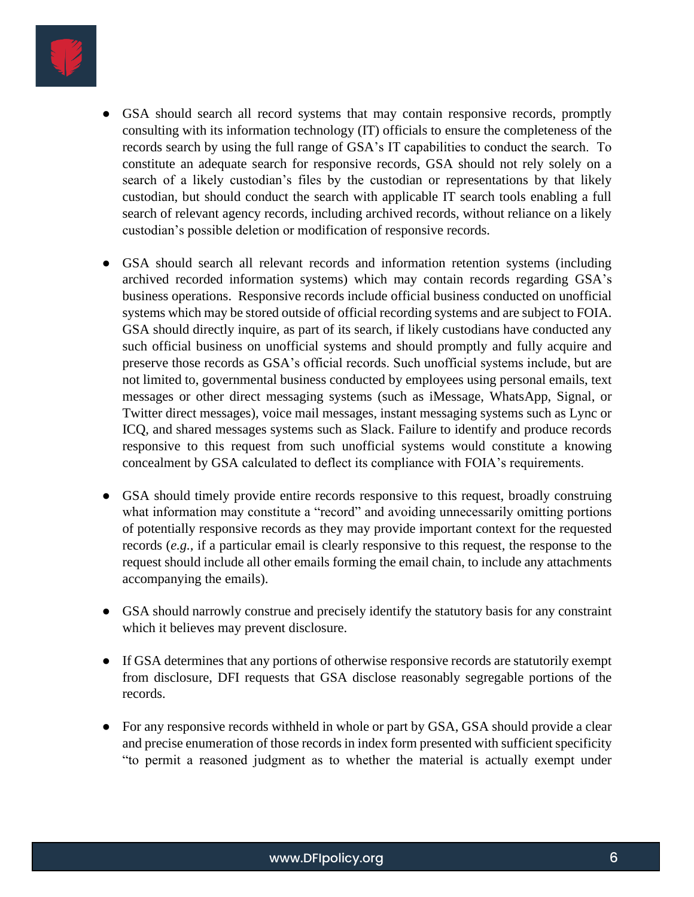

- GSA should search all record systems that may contain responsive records, promptly consulting with its information technology (IT) officials to ensure the completeness of the records search by using the full range of GSA's IT capabilities to conduct the search. To constitute an adequate search for responsive records, GSA should not rely solely on a search of a likely custodian's files by the custodian or representations by that likely custodian, but should conduct the search with applicable IT search tools enabling a full search of relevant agency records, including archived records, without reliance on a likely custodian's possible deletion or modification of responsive records.
- GSA should search all relevant records and information retention systems (including archived recorded information systems) which may contain records regarding GSA's business operations. Responsive records include official business conducted on unofficial systems which may be stored outside of official recording systems and are subject to FOIA. GSA should directly inquire, as part of its search, if likely custodians have conducted any such official business on unofficial systems and should promptly and fully acquire and preserve those records as GSA's official records. Such unofficial systems include, but are not limited to, governmental business conducted by employees using personal emails, text messages or other direct messaging systems (such as iMessage, WhatsApp, Signal, or Twitter direct messages), voice mail messages, instant messaging systems such as Lync or ICQ, and shared messages systems such as Slack. Failure to identify and produce records responsive to this request from such unofficial systems would constitute a knowing concealment by GSA calculated to deflect its compliance with FOIA's requirements.
- GSA should timely provide entire records responsive to this request, broadly construing what information may constitute a "record" and avoiding unnecessarily omitting portions of potentially responsive records as they may provide important context for the requested records (*e.g.,* if a particular email is clearly responsive to this request, the response to the request should include all other emails forming the email chain, to include any attachments accompanying the emails).
- GSA should narrowly construe and precisely identify the statutory basis for any constraint which it believes may prevent disclosure.
- If GSA determines that any portions of otherwise responsive records are statutorily exempt from disclosure, DFI requests that GSA disclose reasonably segregable portions of the records.
- For any responsive records withheld in whole or part by GSA, GSA should provide a clear and precise enumeration of those records in index form presented with sufficient specificity "to permit a reasoned judgment as to whether the material is actually exempt under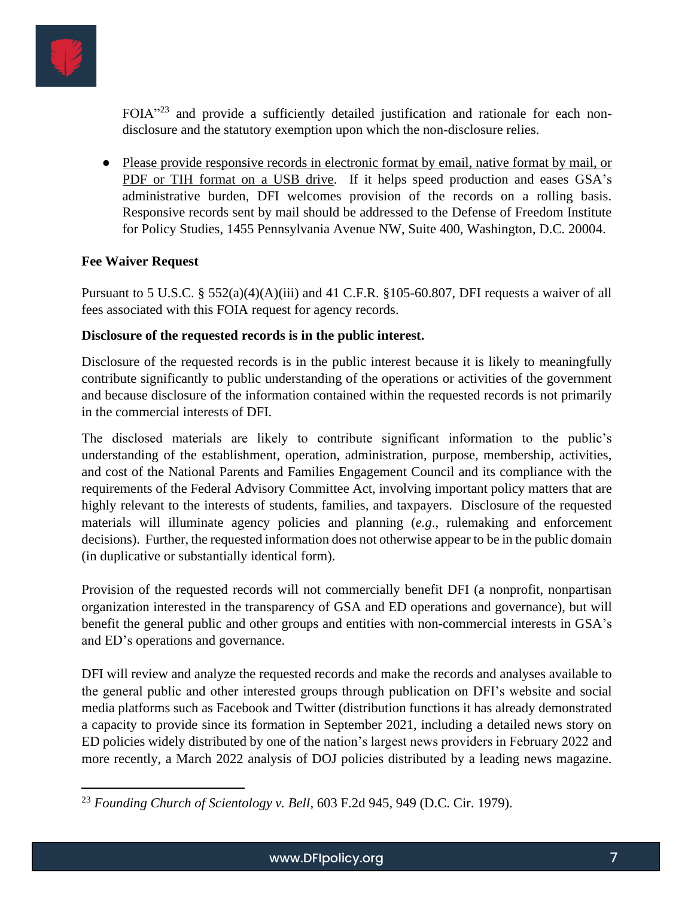

FOIA"<sup>23</sup> and provide a sufficiently detailed justification and rationale for each nondisclosure and the statutory exemption upon which the non-disclosure relies.

● Please provide responsive records in electronic format by email, native format by mail, or PDF or TIH format on a USB drive. If it helps speed production and eases GSA's administrative burden, DFI welcomes provision of the records on a rolling basis. Responsive records sent by mail should be addressed to the Defense of Freedom Institute for Policy Studies, 1455 Pennsylvania Avenue NW, Suite 400, Washington, D.C. 20004.

# **Fee Waiver Request**

Pursuant to 5 U.S.C. § 552(a)(4)(A)(iii) and 41 C.F.R. §105-60.807, DFI requests a waiver of all fees associated with this FOIA request for agency records.

## **Disclosure of the requested records is in the public interest.**

Disclosure of the requested records is in the public interest because it is likely to meaningfully contribute significantly to public understanding of the operations or activities of the government and because disclosure of the information contained within the requested records is not primarily in the commercial interests of DFI.

The disclosed materials are likely to contribute significant information to the public's understanding of the establishment, operation, administration, purpose, membership, activities, and cost of the National Parents and Families Engagement Council and its compliance with the requirements of the Federal Advisory Committee Act, involving important policy matters that are highly relevant to the interests of students, families, and taxpayers. Disclosure of the requested materials will illuminate agency policies and planning (*e.g*., rulemaking and enforcement decisions). Further, the requested information does not otherwise appear to be in the public domain (in duplicative or substantially identical form).

Provision of the requested records will not commercially benefit DFI (a nonprofit, nonpartisan organization interested in the transparency of GSA and ED operations and governance), but will benefit the general public and other groups and entities with non-commercial interests in GSA's and ED's operations and governance.

DFI will review and analyze the requested records and make the records and analyses available to the general public and other interested groups through publication on DFI's website and social media platforms such as Facebook and Twitter (distribution functions it has already demonstrated a capacity to provide since its formation in September 2021, including a detailed news story on ED policies widely distributed by one of the nation's largest news providers in February 2022 and more recently, a March 2022 analysis of DOJ policies distributed by a leading news magazine.

<sup>23</sup> *Founding Church of Scientology v. Bell*, 603 F.2d 945, 949 (D.C. Cir. 1979).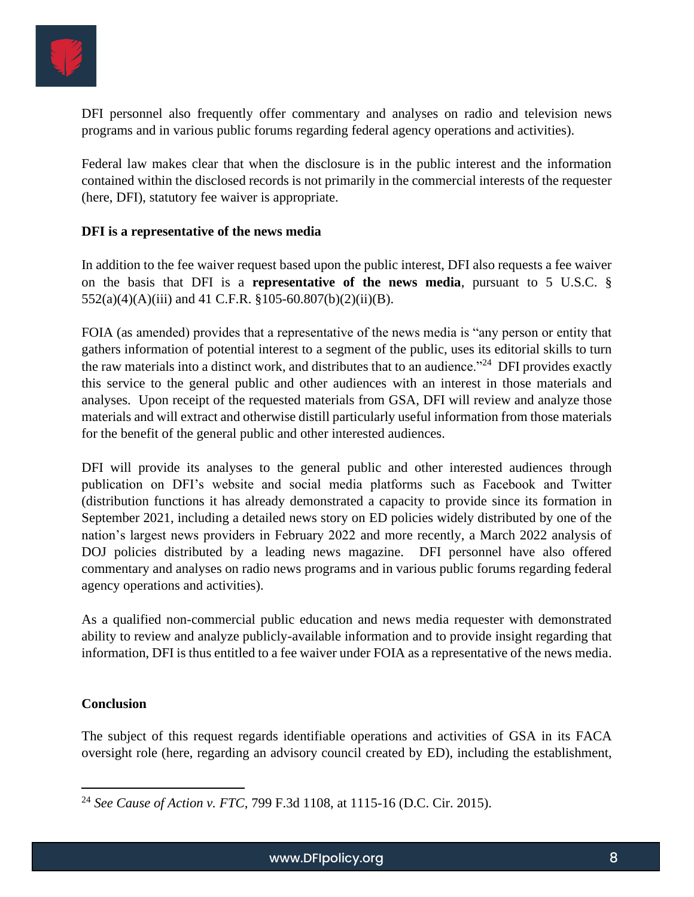

DFI personnel also frequently offer commentary and analyses on radio and television news programs and in various public forums regarding federal agency operations and activities).

Federal law makes clear that when the disclosure is in the public interest and the information contained within the disclosed records is not primarily in the commercial interests of the requester (here, DFI), statutory fee waiver is appropriate.

### **DFI is a representative of the news media**

In addition to the fee waiver request based upon the public interest, DFI also requests a fee waiver on the basis that DFI is a **representative of the news media**, pursuant to 5 U.S.C. § 552(a)(4)(A)(iii) and 41 C.F.R. §105-60.807(b)(2)(ii)(B).

FOIA (as amended) provides that a representative of the news media is "any person or entity that gathers information of potential interest to a segment of the public, uses its editorial skills to turn the raw materials into a distinct work, and distributes that to an audience."<sup>24</sup> DFI provides exactly this service to the general public and other audiences with an interest in those materials and analyses. Upon receipt of the requested materials from GSA, DFI will review and analyze those materials and will extract and otherwise distill particularly useful information from those materials for the benefit of the general public and other interested audiences.

DFI will provide its analyses to the general public and other interested audiences through publication on DFI's website and social media platforms such as Facebook and Twitter (distribution functions it has already demonstrated a capacity to provide since its formation in September 2021, including a detailed news story on ED policies widely distributed by one of the nation's largest news providers in February 2022 and more recently, a March 2022 analysis of DOJ policies distributed by a leading news magazine. DFI personnel have also offered commentary and analyses on radio news programs and in various public forums regarding federal agency operations and activities).

As a qualified non-commercial public education and news media requester with demonstrated ability to review and analyze publicly-available information and to provide insight regarding that information, DFI is thus entitled to a fee waiver under FOIA as a representative of the news media.

## **Conclusion**

The subject of this request regards identifiable operations and activities of GSA in its FACA oversight role (here, regarding an advisory council created by ED), including the establishment,

<sup>24</sup> *See Cause of Action v. FTC,* 799 F.3d 1108, at 1115-16 (D.C. Cir. 2015).